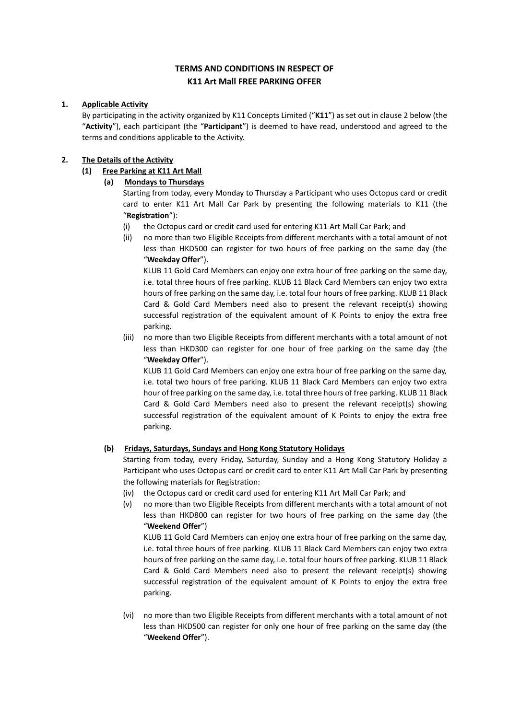# **TERMS AND CONDITIONS IN RESPECT OF K11 Art Mall FREE PARKING OFFER**

# **1. Applicable Activity**

By participating in the activity organized by K11 Concepts Limited ("**K11**") as set out in clause 2 below (the "**Activity**"), each participant (the "**Participant**") is deemed to have read, understood and agreed to the terms and conditions applicable to the Activity.

# **2. The Details of the Activity**

# **(1) Free Parking at K11 Art Mall**

# **(a) Mondays to Thursdays**

Starting from today, every Monday to Thursday a Participant who uses Octopus card or credit card to enter K11 Art Mall Car Park by presenting the following materials to K11 (the "**Registration**"):

- (i) the Octopus card or credit card used for entering K11 Art Mall Car Park; and
- (ii) no more than two Eligible Receipts from different merchants with a total amount of not less than HKD500 can register for two hours of free parking on the same day (the "**Weekday Offer**").

KLUB 11 Gold Card Members can enjoy one extra hour of free parking on the same day, i.e. total three hours of free parking. KLUB 11 Black Card Members can enjoy two extra hours of free parking on the same day, i.e. total four hours of free parking. KLUB 11 Black Card & Gold Card Members need also to present the relevant receipt(s) showing successful registration of the equivalent amount of K Points to enjoy the extra free parking.

(iii) no more than two Eligible Receipts from different merchants with a total amount of not less than HKD300 can register for one hour of free parking on the same day (the "**Weekday Offer**").

KLUB 11 Gold Card Members can enjoy one extra hour of free parking on the same day, i.e. total two hours of free parking. KLUB 11 Black Card Members can enjoy two extra hour of free parking on the same day, i.e. total three hours of free parking. KLUB 11 Black Card & Gold Card Members need also to present the relevant receipt(s) showing successful registration of the equivalent amount of K Points to enjoy the extra free parking.

# **(b) Fridays, Saturdays, Sundays and Hong Kong Statutory Holidays**

Starting from today, every Friday, Saturday, Sunday and a Hong Kong Statutory Holiday a Participant who uses Octopus card or credit card to enter K11 Art Mall Car Park by presenting the following materials for Registration:

- (iv) the Octopus card or credit card used for entering K11 Art Mall Car Park; and
- (v) no more than two Eligible Receipts from different merchants with a total amount of not less than HKD800 can register for two hours of free parking on the same day (the "**Weekend Offer**")

KLUB 11 Gold Card Members can enjoy one extra hour of free parking on the same day, i.e. total three hours of free parking. KLUB 11 Black Card Members can enjoy two extra hours of free parking on the same day, i.e. total four hours of free parking. KLUB 11 Black Card & Gold Card Members need also to present the relevant receipt(s) showing successful registration of the equivalent amount of K Points to enjoy the extra free parking.

(vi) no more than two Eligible Receipts from different merchants with a total amount of not less than HKD500 can register for only one hour of free parking on the same day (the "**Weekend Offer**").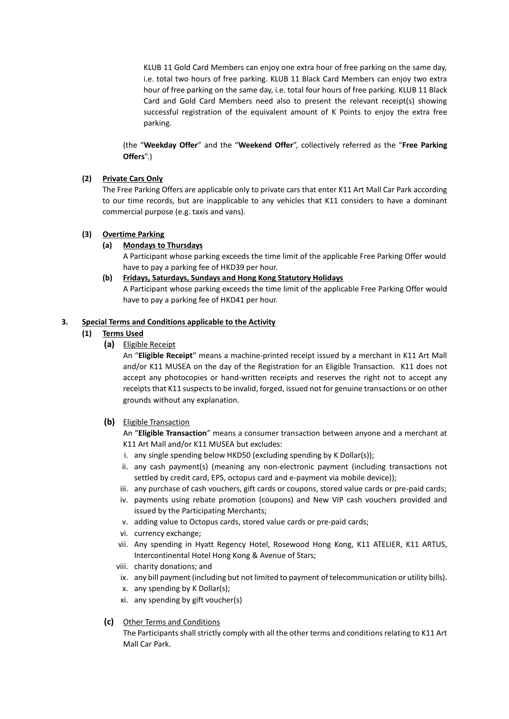KLUB 11 Gold Card Members can enjoy one extra hour of free parking on the same day, i.e. total two hours of free parking. KLUB 11 Black Card Members can enjoy two extra hour of free parking on the same day, i.e. total four hours of free parking. KLUB 11 Black Card and Gold Card Members need also to present the relevant receipt(s) showing successful registration of the equivalent amount of K Points to enjoy the extra free parking.

(the "**Weekday Offer**" and the "**Weekend Offer**", collectively referred as the "**Free Parking Offers**".)

## **(2) Private Cars Only**

The Free Parking Offers are applicable only to private cars that enter K11 Art Mall Car Park according to our time records, but are inapplicable to any vehicles that K11 considers to have a dominant commercial purpose (e.g. taxis and vans).

## **(3) Overtime Parking**

## **(a) Mondays to Thursdays**

A Participant whose parking exceeds the time limit of the applicable Free Parking Offer would have to pay a parking fee of HKD39 per hour.

**(b) Fridays, Saturdays, Sundays and Hong Kong Statutory Holidays**

A Participant whose parking exceeds the time limit of the applicable Free Parking Offer would have to pay a parking fee of HKD41 per hour.

## **3. Special Terms and Conditions applicable to the Activity**

## **(1) Terms Used**

**(a)** Eligible Receipt

An "**Eligible Receipt**" means a machine-printed receipt issued by a merchant in K11 Art Mall and/or K11 MUSEA on the day of the Registration for an Eligible Transaction. K11 does not accept any photocopies or hand-written receipts and reserves the right not to accept any receipts that K11 suspects to be invalid, forged, issued not for genuine transactions or on other grounds without any explanation.

# **(b)** Eligible Transaction

An "**Eligible Transaction**" means a consumer transaction between anyone and a merchant at K11 Art Mall and/or K11 MUSEA but excludes:

- i. any single spending below HKD50 (excluding spending by K Dollar(s));
- ii. any cash payment(s) (meaning any non-electronic payment (including transactions not settled by credit card, EPS, octopus card and e-payment via mobile device));
- iii. any purchase of cash vouchers, gift cards or coupons, stored value cards or pre-paid cards;
- iv. payments using rebate promotion (coupons) and New VIP cash vouchers provided and issued by the Participating Merchants;
- v. adding value to Octopus cards, stored value cards or pre-paid cards;
- vi. currency exchange;
- vii. Any spending in Hyatt Regency Hotel, Rosewood Hong Kong, K11 ATELIER, K11 ARTUS, Intercontinental Hotel Hong Kong & Avenue of Stars;
- viii. charity donations; and
- ix. any bill payment (including but not limited to payment of telecommunication or utility bills).
- x. any spending by K Dollar(s);
- xi. any spending by gift voucher(s)
- **(c)** Other Terms and Conditions

The Participants shall strictly comply with all the other terms and conditions relating to K11 Art Mall Car Park.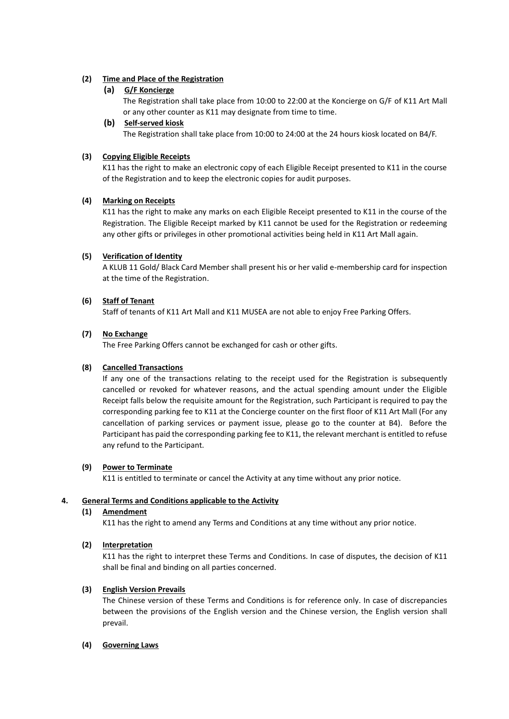# **(2) Time and Place of the Registration**

## **(a) G/F Koncierge**

The Registration shall take place from 10:00 to 22:00 at the Koncierge on G/F of K11 Art Mall or any other counter as K11 may designate from time to time.

## **(b) Self-served kiosk**

The Registration shall take place from 10:00 to 24:00 at the 24 hours kiosk located on B4/F.

#### **(3) Copying Eligible Receipts**

K11 has the right to make an electronic copy of each Eligible Receipt presented to K11 in the course of the Registration and to keep the electronic copies for audit purposes.

#### **(4) Marking on Receipts**

K11 has the right to make any marks on each Eligible Receipt presented to K11 in the course of the Registration. The Eligible Receipt marked by K11 cannot be used for the Registration or redeeming any other gifts or privileges in other promotional activities being held in K11 Art Mall again.

#### **(5) Verification of Identity**

A KLUB 11 Gold/ Black Card Member shall present his or her valid e-membership card for inspection at the time of the Registration.

#### **(6) Staff of Tenant**

Staff of tenants of K11 Art Mall and K11 MUSEA are not able to enjoy Free Parking Offers.

#### **(7) No Exchange**

The Free Parking Offers cannot be exchanged for cash or other gifts.

## **(8) Cancelled Transactions**

If any one of the transactions relating to the receipt used for the Registration is subsequently cancelled or revoked for whatever reasons, and the actual spending amount under the Eligible Receipt falls below the requisite amount for the Registration, such Participant is required to pay the corresponding parking fee to K11 at the Concierge counter on the first floor of K11 Art Mall (For any cancellation of parking services or payment issue, please go to the counter at B4). Before the Participant has paid the corresponding parking fee to K11, the relevant merchant is entitled to refuse any refund to the Participant.

#### **(9) Power to Terminate**

K11 is entitled to terminate or cancel the Activity at any time without any prior notice.

## **4. General Terms and Conditions applicable to the Activity**

## **(1) Amendment**

K11 has the right to amend any Terms and Conditions at any time without any prior notice.

## **(2) Interpretation**

K11 has the right to interpret these Terms and Conditions. In case of disputes, the decision of K11 shall be final and binding on all parties concerned.

## **(3) English Version Prevails**

The Chinese version of these Terms and Conditions is for reference only. In case of discrepancies between the provisions of the English version and the Chinese version, the English version shall prevail.

#### **(4) Governing Laws**